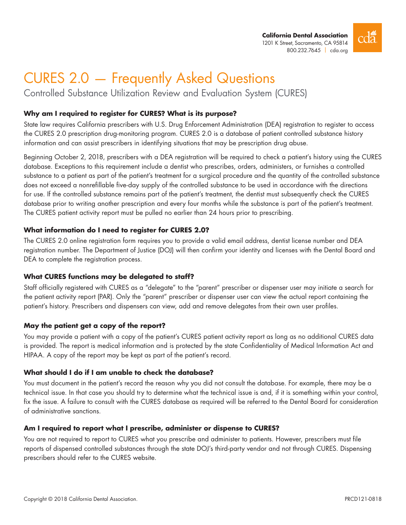

# CURES 2.0 — Frequently Asked Questions

Controlled Substance Utilization Review and Evaluation System (CURES)

## **Why am I required to register for CURES? What is its purpose?**

State law requires California prescribers with U.S. Drug Enforcement Administration (DEA) registration to register to access the CURES 2.0 prescription drug-monitoring program. CURES 2.0 is a database of patient controlled substance history information and can assist prescribers in identifying situations that may be prescription drug abuse.

Beginning October 2, 2018, prescribers with a DEA registration will be required to check a patient's history using the CURES database. Exceptions to this requirement include a dentist who prescribes, orders, administers, or furnishes a controlled substance to a patient as part of the patient's treatment for a surgical procedure and the quantity of the controlled substance does not exceed a nonrefillable five-day supply of the controlled substance to be used in accordance with the directions for use. If the controlled substance remains part of the patient's treatment, the dentist must subsequently check the CURES database prior to writing another prescription and every four months while the substance is part of the patient's treatment. The CURES patient activity report must be pulled no earlier than 24 hours prior to prescribing.

## **What information do I need to register for CURES 2.0?**

The CURES 2.0 online registration form requires you to provide a valid email address, dentist license number and DEA registration number. The Department of Justice (DOJ) will then confirm your identity and licenses with the Dental Board and DEA to complete the registration process.

## **What CURES functions may be delegated to staff?**

Staff officially registered with CURES as a "delegate" to the "parent" prescriber or dispenser user may initiate a search for the patient activity report (PAR). Only the "parent" prescriber or dispenser user can view the actual report containing the patient's history. Prescribers and dispensers can view, add and remove delegates from their own user profiles.

## **May the patient get a copy of the report?**

You may provide a patient with a copy of the patient's CURES patient activity report as long as no additional CURES data is provided. The report is medical information and is protected by the state Confidentiality of Medical Information Act and HIPAA. A copy of the report may be kept as part of the patient's record.

## **What should I do if I am unable to check the database?**

You must document in the patient's record the reason why you did not consult the database. For example, there may be a technical issue. In that case you should try to determine what the technical issue is and, if it is something within your control, fix the issue. A failure to consult with the CURES database as required will be referred to the Dental Board for consideration of administrative sanctions.

## **Am I required to report what I prescribe, administer or dispense to CURES?**

You are not required to report to CURES what you prescribe and administer to patients. However, prescribers must file reports of dispensed controlled substances through the state DOJ's third-party vendor and not through CURES. Dispensing prescribers should refer to the CURES website.